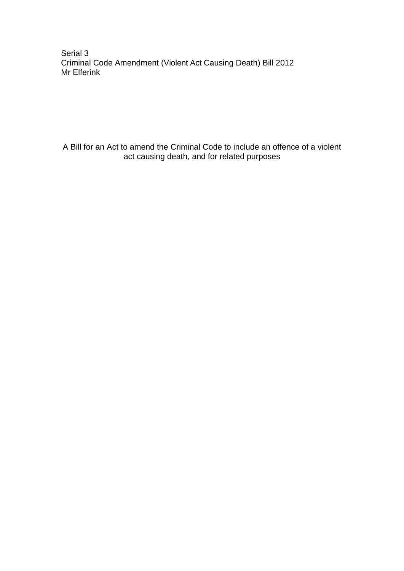Serial 3 Criminal Code Amendment (Violent Act Causing Death) Bill 2012 Mr Elferink

A Bill for an Act to amend the Criminal Code to include an offence of a violent act causing death, and for related purposes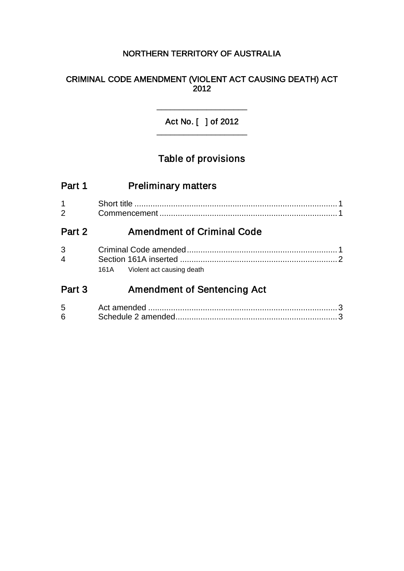## NORTHERN TERRITORY OF AUSTRALIA

### CRIMINAL CODE AMENDMENT (VIOLENT ACT CAUSING DEATH) ACT 2012

Act No. [ ] of 2012 \_\_\_\_\_\_\_\_\_\_\_\_\_\_\_\_\_\_\_\_

\_\_\_\_\_\_\_\_\_\_\_\_\_\_\_\_\_\_\_\_

# Table of provisions

| Part 1              | <b>Preliminary matters</b>         |        |
|---------------------|------------------------------------|--------|
| $\mathbf{1}$<br>2   |                                    |        |
| Part 2              | <b>Amendment of Criminal Code</b>  |        |
| 3<br>$\overline{4}$ |                                    |        |
|                     | 161A Violent act causing death     |        |
| Part 3              | <b>Amendment of Sentencing Act</b> |        |
| 5<br>6              |                                    | 3<br>3 |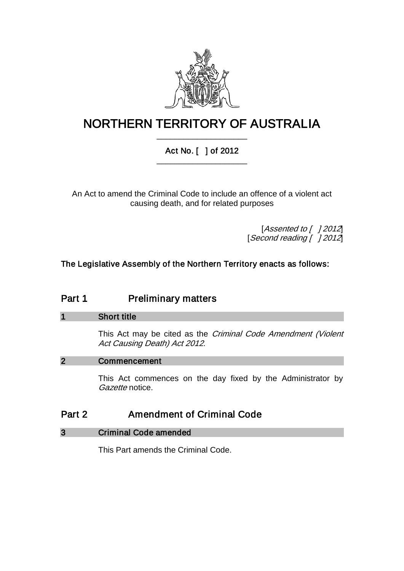

# NORTHERN TERRITORY OF AUSTRALIA \_\_\_\_\_\_\_\_\_\_\_\_\_\_\_\_\_\_\_\_

## Act No. [ ] of 2012 \_\_\_\_\_\_\_\_\_\_\_\_\_\_\_\_\_\_\_\_

An Act to amend the Criminal Code to include an offence of a violent act causing death, and for related purposes

> [Assented to [ ] 2012] [Second reading [ ] 2012]

The Legislative Assembly of the Northern Territory enacts as follows:

## Part 1 **Preliminary matters**

#### 1 Short title

This Act may be cited as the Criminal Code Amendment (Violent Act Causing Death) Act 2012.

### 2 Commencement

This Act commences on the day fixed by the Administrator by Gazette notice.

## Part 2 **Amendment of Criminal Code**

#### 3 Criminal Code amended

This Part amends the Criminal Code.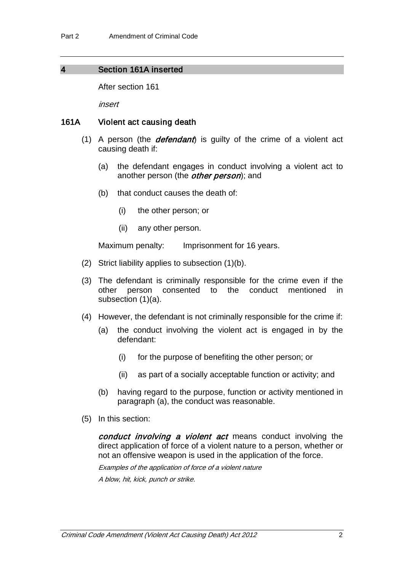#### 4 Section 161A inserted

After section 161

insert

#### 161A Violent act causing death

- (1) A person (the **defendant**) is guilty of the crime of a violent act causing death if:
	- (a) the defendant engages in conduct involving a violent act to another person (the *other person*); and
	- (b) that conduct causes the death of:
		- (i) the other person; or
		- (ii) any other person.

Maximum penalty: Imprisonment for 16 years.

- (2) Strict liability applies to subsection (1)(b).
- (3) The defendant is criminally responsible for the crime even if the other person consented to the conduct mentioned in other person consented to the conduct mentioned in subsection (1)(a).
- (4) However, the defendant is not criminally responsible for the crime if:
	- (a) the conduct involving the violent act is engaged in by the defendant:
		- (i) for the purpose of benefiting the other person; or
		- (ii) as part of a socially acceptable function or activity; and
	- (b) having regard to the purpose, function or activity mentioned in paragraph (a), the conduct was reasonable.
- (5) In this section:

conduct involving a violent act means conduct involving the direct application of force of a violent nature to a person, whether or not an offensive weapon is used in the application of the force.

Examples of the application of force of a violent nature A blow, hit, kick, punch or strike.